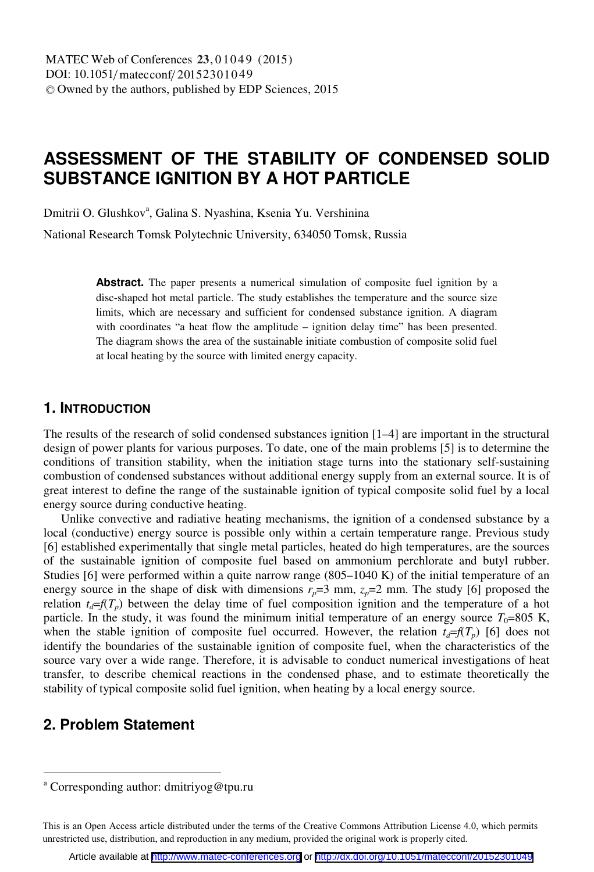# **ASSESSMENT OF THE STABILITY OF CONDENSED SOLID SUBSTANCE IGNITION BY A HOT PARTICLE**

Dmitrii O. Glushkov<sup>a</sup>, Galina S. Nyashina, Ksenia Yu. Vershinina

National Research Tomsk Polytechnic University, 634050 Tomsk, Russia

**Abstract.** The paper presents a numerical simulation of composite fuel ignition by a disc-shaped hot metal particle. The study establishes the temperature and the source size limits, which are necessary and sufficient for condensed substance ignition. A diagram with coordinates "a heat flow the amplitude – ignition delay time" has been presented. The diagram shows the area of the sustainable initiate combustion of composite solid fuel at local heating by the source with limited energy capacity.

### **1. INTRODUCTION**

The results of the research of solid condensed substances ignition [1–4] are important in the structural design of power plants for various purposes. To date, one of the main problems [5] is to determine the conditions of transition stability, when the initiation stage turns into the stationary self-sustaining combustion of condensed substances without additional energy supply from an external source. It is of great interest to define the range of the sustainable ignition of typical composite solid fuel by a local energy source during conductive heating.

Unlike convective and radiative heating mechanisms, the ignition of a condensed substance by a local (conductive) energy source is possible only within a certain temperature range. Previous study [6] established experimentally that single metal particles, heated do high temperatures, are the sources of the sustainable ignition of composite fuel based on ammonium perchlorate and butyl rubber. Studies [6] were performed within a quite narrow range (805–1040 K) of the initial temperature of an energy source in the shape of disk with dimensions  $r_p=3$  mm,  $z_p=2$  mm. The study [6] proposed the relation  $t_d = f(T_p)$  between the delay time of fuel composition ignition and the temperature of a hot particle. In the study, it was found the minimum initial temperature of an energy source  $T_0$ =805 K, when the stable ignition of composite fuel occurred. However, the relation  $t_d = f(T_p)$  [6] does not identify the boundaries of the sustainable ignition of composite fuel, when the characteristics of the source vary over a wide range. Therefore, it is advisable to conduct numerical investigations of heat transfer, to describe chemical reactions in the condensed phase, and to estimate theoretically the stability of typical composite solid fuel ignition, when heating by a local energy source.

# **2. Problem Statement**

<sup>&</sup>lt;sup>a</sup> Corresponding author: dmitriyog@tpu.ru

This is an Open Access article distributed under the terms of the Creative Commons Attribution License 4.0, which permits unrestricted use, distribution, and reproduction in any medium, provided the original work is properly cited.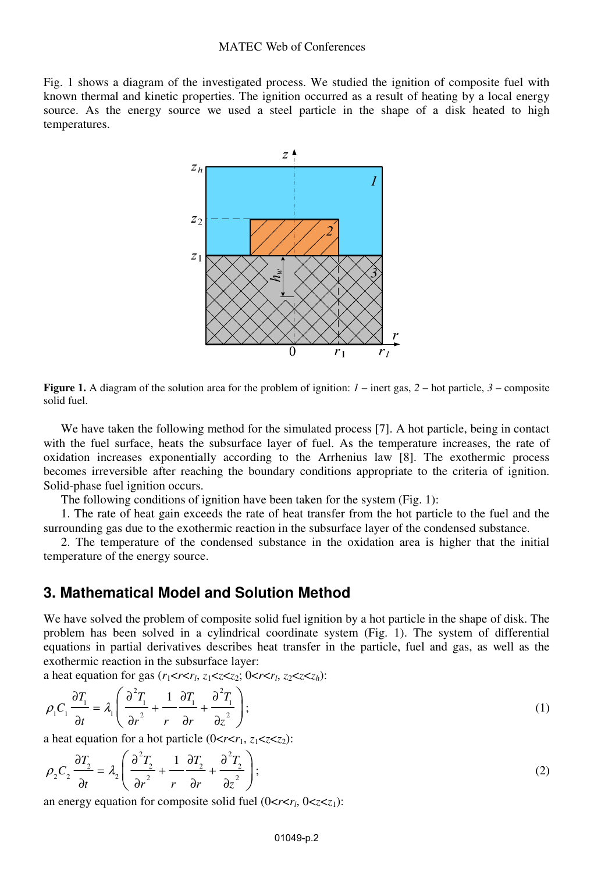Fig. 1 shows a diagram of the investigated process. We studied the ignition of composite fuel with known thermal and kinetic properties. The ignition occurred as a result of heating by a local energy source. As the energy source we used a steel particle in the shape of a disk heated to high temperatures.



**Figure 1.** A diagram of the solution area for the problem of ignition: *1* – inert gas, *2* – hot particle, *3* – composite solid fuel.

We have taken the following method for the simulated process [7]. A hot particle, being in contact with the fuel surface, heats the subsurface layer of fuel. As the temperature increases, the rate of oxidation increases exponentially according to the Arrhenius law [8]. The exothermic process becomes irreversible after reaching the boundary conditions appropriate to the criteria of ignition. Solid-phase fuel ignition occurs.

The following conditions of ignition have been taken for the system (Fig. 1):

1. The rate of heat gain exceeds the rate of heat transfer from the hot particle to the fuel and the surrounding gas due to the exothermic reaction in the subsurface layer of the condensed substance.

2. The temperature of the condensed substance in the oxidation area is higher that the initial temperature of the energy source.

## **3. Mathematical Model and Solution Method**

We have solved the problem of composite solid fuel ignition by a hot particle in the shape of disk. The problem has been solved in a cylindrical coordinate system (Fig. 1). The system of differential equations in partial derivatives describes heat transfer in the particle, fuel and gas, as well as the exothermic reaction in the subsurface layer:

a heat equation for gas  $(r_1 < r < r_1, z_1 < z < z_2; 0 < r < r_1, z_2 < z < z_h$ ):

$$
\rho_1 C_1 \frac{\partial T_1}{\partial t} = \lambda_1 \left( \frac{\partial^2 T_1}{\partial r^2} + \frac{1}{r} \frac{\partial T_1}{\partial r} + \frac{\partial^2 T_1}{\partial z^2} \right);
$$
\n(1)

a heat equation for a hot particle  $(0 < r < r_1, z_1 < z < z_2)$ :

$$
\rho_2 C_2 \frac{\partial T_2}{\partial t} = \lambda_2 \left( \frac{\partial^2 T_2}{\partial r^2} + \frac{1}{r} \frac{\partial T_2}{\partial r} + \frac{\partial^2 T_2}{\partial z^2} \right);
$$
\n(2)

an energy equation for composite solid fuel  $(0 < r < r_1, 0 < z < z_1)$ :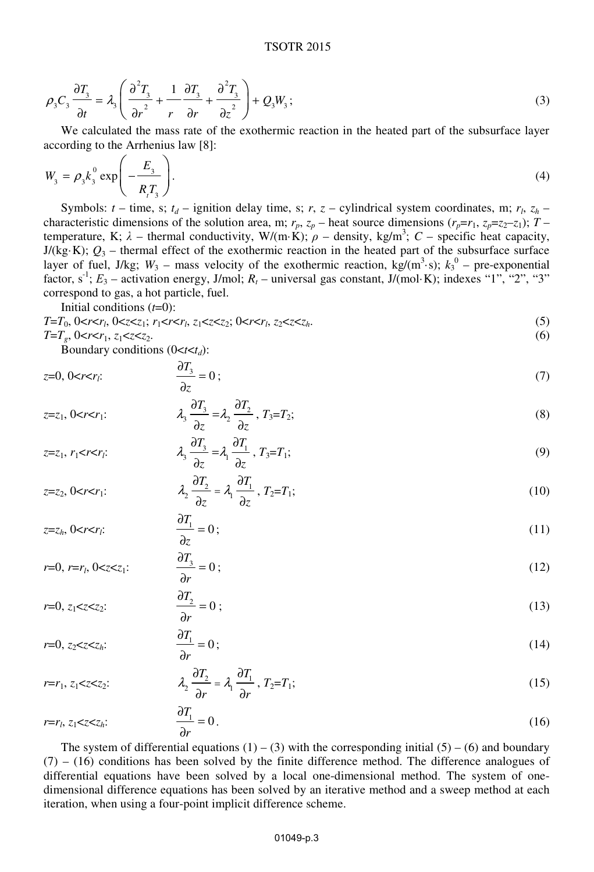#### TSOTR 2015

$$
\rho_3 C_3 \frac{\partial T_3}{\partial t} = \lambda_3 \left( \frac{\partial^2 T_3}{\partial r^2} + \frac{1}{r} \frac{\partial T_3}{\partial r} + \frac{\partial^2 T_3}{\partial z^2} \right) + Q_3 W_3; \tag{3}
$$

We calculated the mass rate of the exothermic reaction in the heated part of the subsurface layer according to the Arrhenius law [8]:

$$
W_3 = \rho_3 k_3^0 \exp\left(-\frac{E_3}{R_1 T_3}\right). \tag{4}
$$

Symbols:  $t$  – time, s;  $t_d$  – ignition delay time, s;  $r$ ,  $z$  – cylindrical system coordinates, m;  $r_l$ ,  $z_h$  – characteristic dimensions of the solution area, m;  $r_p$ ,  $z_p$  – heat source dimensions  $(r_p = r_1, z_p = z_2 - z_1)$ ;  $T =$ temperature, K;  $\lambda$  – thermal conductivity, W/(m·K);  $\rho$  – density, kg/m<sup>3</sup>; C – specific heat capacity,  $J/(kg·K)$ ;  $Q_3$  – thermal effect of the exothermic reaction in the heated part of the subsurface surface layer of fuel, J/kg;  $W_3$  – mass velocity of the exothermic reaction,  $kg/(m^3 \cdot s)$ ;  $k_3^0$  – pre-exponential factor, s<sup>-1</sup>;  $E_3$  – activation energy, J/mol;  $R_t$  – universal gas constant, J/(mol·K); indexes "1", "2", "3" correspond to gas, a hot particle, fuel.

Initial conditions (*t*=0):

$$
T=T_0, 0 < r < r_i, 0 < z < z_i; \ r_1 < r < r_i, \ z_1 < z < z_2; 0 < r < r_i, \ z_2 < z < z_h. \tag{5}
$$

$$
T=T_g, 0 < r < r_1, z_1 < z < z_2. \tag{6}
$$

Boundary conditions  $(0 < t < t_d)$ :

$$
z=0, 0\n(7)
$$

$$
z=z_1, 0
$$

$$
z=z_1, r_1 < r < r_i;
$$
\n
$$
\lambda_3 \frac{\partial T_3}{\partial z} = \lambda_1 \frac{\partial T_1}{\partial z}, T_3 = T_1;
$$
\n(9)

$$
z=z_2, 0 < r < r_1:
$$
\n
$$
\lambda_2 \frac{\partial T_2}{\partial z} = \lambda_1 \frac{\partial T_1}{\partial z}, T_2 = T_1;
$$
\n(10)

$$
z=z_h, 0
$$

$$
r=0, r=r_1, 0
$$
\frac{\partial T_3}{\partial r}=0;
$$
 (12)
$$

$$
r=0, z_1 < z < z_2:
$$
\n
$$
\frac{\partial T_2}{\partial r} = 0;
$$
\n(13)

$$
r=0, z_2 < z < z_h.
$$
\n
$$
\frac{\partial T_1}{\partial r} = 0;
$$
\n(14)

$$
r=r_1, z_1 < z < z_2:
$$
\n
$$
\lambda_2 \frac{\partial T_2}{\partial r} = \lambda_1 \frac{\partial T_1}{\partial r}, T_2 = T_1;
$$
\n(15)

$$
r=r_l, z_1\n(16)
$$

The system of differential equations  $(1) - (3)$  with the corresponding initial  $(5) - (6)$  and boundary  $(7)$  –  $(16)$  conditions has been solved by the finite difference method. The difference analogues of differential equations have been solved by a local one-dimensional method. The system of onedimensional difference equations has been solved by an iterative method and a sweep method at each iteration, when using a four-point implicit difference scheme.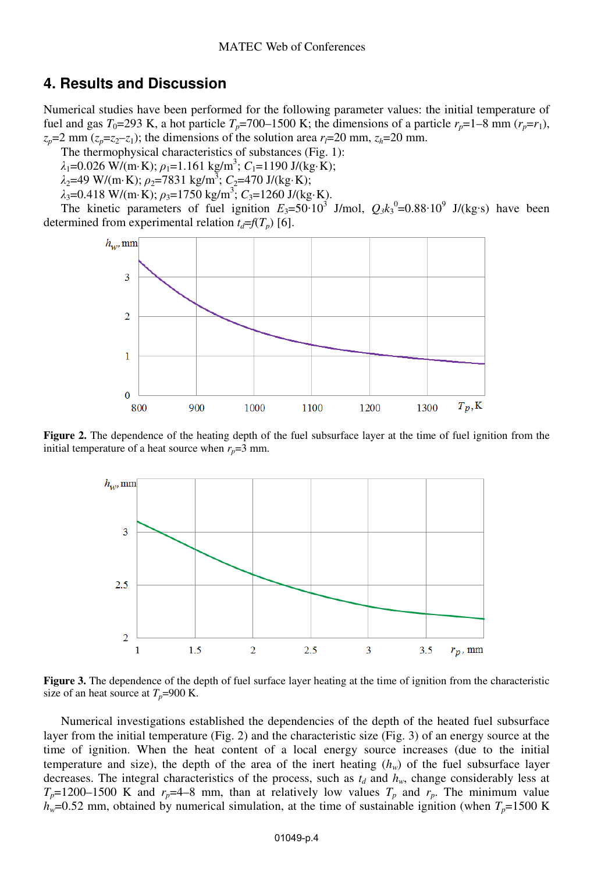## **4. Results and Discussion**

Numerical studies have been performed for the following parameter values: the initial temperature of fuel and gas  $T_0$ =293 K, a hot particle  $T_p$ =700–1500 K; the dimensions of a particle  $r_p$ =1–8 mm ( $r_p$ = $r_1$ ),  $z_p$ =2 mm ( $z_p$ = $z_2$ - $z_1$ ); the dimensions of the solution area  $r_l$ =20 mm,  $z_h$ =20 mm.

The thermophysical characteristics of substances (Fig. 1):

 $\lambda_1 = 0.026$  W/(m·K);  $\rho_1 = 1.161$  kg/m<sup>3</sup>;  $C_1 = 1190$  J/(kg·K);

 $\lambda_2$ =49 W/(m·K);  $\rho_2$ =7831 kg/m<sup>3</sup>; C<sub>2</sub>=470 J/(kg·K);

 $\lambda_3 = 0.418 \text{ W/(m} \cdot \text{K)}$ ;  $\rho_3 = 1750 \text{ kg/m}^3$ ;  $C_3 = 1260 \text{ J/(kg} \cdot \text{K)}$ .

The kinetic parameters of fuel ignition  $E_3 = 50 \cdot 10^3$  J/mol,  $Q_3 k_3^0 = 0.88 \cdot 10^9$  J/(kg·s) have been determined from experimental relation  $t_d = f(T_p)$  [6].



**Figure 2.** The dependence of the heating depth of the fuel subsurface layer at the time of fuel ignition from the initial temperature of a heat source when  $r_p = 3$  mm.



**Figure 3.** The dependence of the depth of fuel surface layer heating at the time of ignition from the characteristic size of an heat source at  $T_p$ =900 K.

Numerical investigations established the dependencies of the depth of the heated fuel subsurface layer from the initial temperature (Fig. 2) and the characteristic size (Fig. 3) of an energy source at the time of ignition. When the heat content of a local energy source increases (due to the initial temperature and size), the depth of the area of the inert heating  $(h_w)$  of the fuel subsurface layer decreases. The integral characteristics of the process, such as  $t_d$  and  $h_w$ , change considerably less at  $T_p$ =1200–1500 K and  $r_p$ =4–8 mm, than at relatively low values  $T_p$  and  $r_p$ . The minimum value  $h_w$ =0.52 mm, obtained by numerical simulation, at the time of sustainable ignition (when  $T_p$ =1500 K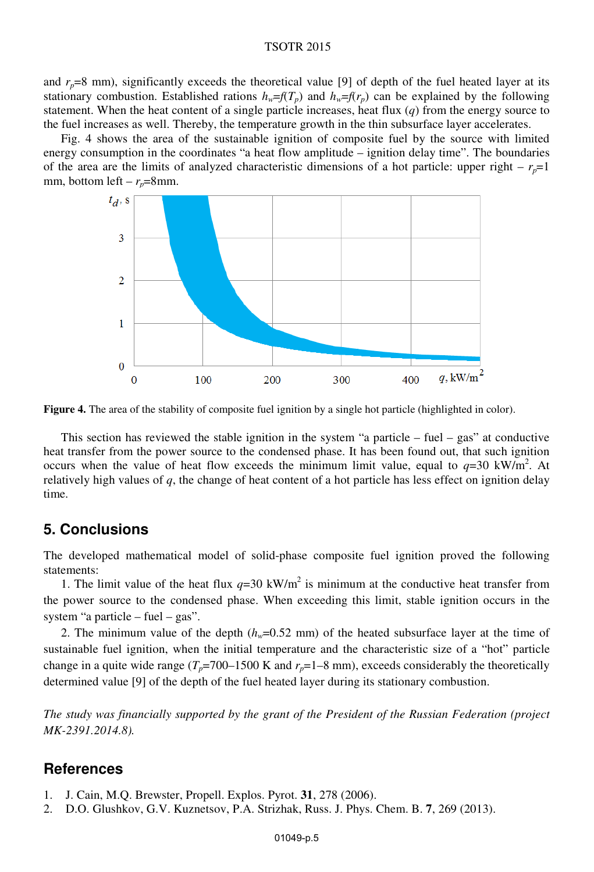#### TSOTR 2015

and  $r_p=8$  mm), significantly exceeds the theoretical value [9] of depth of the fuel heated layer at its stationary combustion. Established rations  $h_w = f(T_p)$  and  $h_w = f(r_p)$  can be explained by the following statement. When the heat content of a single particle increases, heat flux (*q*) from the energy source to the fuel increases as well. Thereby, the temperature growth in the thin subsurface layer accelerates.

Fig. 4 shows the area of the sustainable ignition of composite fuel by the source with limited energy consumption in the coordinates "a heat flow amplitude – ignition delay time". The boundaries of the area are the limits of analyzed characteristic dimensions of a hot particle: upper right  $- r_{p} = 1$ mm, bottom left –  $r_p$ =8mm.



**Figure 4.** The area of the stability of composite fuel ignition by a single hot particle (highlighted in color).

This section has reviewed the stable ignition in the system "a particle – fuel – gas" at conductive heat transfer from the power source to the condensed phase. It has been found out, that such ignition occurs when the value of heat flow exceeds the minimum limit value, equal to  $q=30 \text{ kW/m}^2$ . At relatively high values of *q*, the change of heat content of a hot particle has less effect on ignition delay time.

### **5. Conclusions**

The developed mathematical model of solid-phase composite fuel ignition proved the following statements:

1. The limit value of the heat flux  $q=30 \text{ kW/m}^2$  is minimum at the conductive heat transfer from the power source to the condensed phase. When exceeding this limit, stable ignition occurs in the system "a particle – fuel – gas".

2. The minimum value of the depth  $(h_w=0.52 \text{ mm})$  of the heated subsurface layer at the time of sustainable fuel ignition, when the initial temperature and the characteristic size of a "hot" particle change in a quite wide range  $(T_p=700-1500 \text{ K}$  and  $r_p=1-8 \text{ mm}$ ), exceeds considerably the theoretically determined value [9] of the depth of the fuel heated layer during its stationary combustion.

*The study was financially supported by the grant of the President of the Russian Federation (project MK-2391.2014.8).* 

## **References**

- 1. J. Cain, M.Q. Brewster, Propell. Explos. Pyrot. **31**, 278 (2006).
- 2. D.O. Glushkov, G.V. Kuznetsov, P.A. Strizhak, Russ. J. Phys. Chem. B. **7**, 269 (2013).